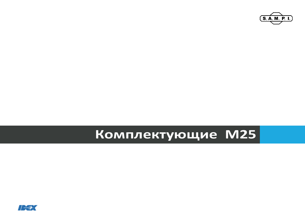

# Комплектующие М25

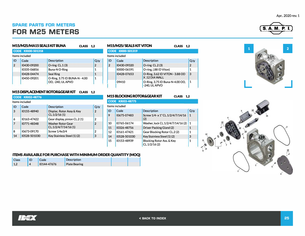#### Apr.. 2020 rev. 1

## **SPARE PARTS FOR METERS FOR M25 METERS**

|    | M15/M25/MA15 SEALS KIT BUNA<br><b>CLASS 1,2</b> |                                                     |                |  |  |  |  |  |  |
|----|-------------------------------------------------|-----------------------------------------------------|----------------|--|--|--|--|--|--|
|    | <b>CODE KRI00-501318</b>                        |                                                     |                |  |  |  |  |  |  |
|    | Items included                                  |                                                     |                |  |  |  |  |  |  |
| ID | Code                                            | Description                                         | $Q_{\cdot}$ ty |  |  |  |  |  |  |
| 2  | 10430-09200                                     | O-ring $CL.1(3)$                                    | $\overline{2}$ |  |  |  |  |  |  |
|    | 10335-06856                                     | Buna-N O-Ring                                       | 1              |  |  |  |  |  |  |
|    | 10428-04474                                     | <b>Seal Ring</b>                                    | 1              |  |  |  |  |  |  |
|    | 10450-09201                                     | O-Ring, 3.75 ID BUNA-N - 4.00<br>OD. - 240. UL APVD | 1              |  |  |  |  |  |  |

#### **M15/M25/ SEALS KITVITON CLASS 1,2 CODE 10000-501319**  ltems included ID Code 2 10430-09320 10000-06191 10428-07653 09410 Description **Q.ty O-ring CL.2 (3)** 2 O-ring,  $(.881D$  Viton) 1 O-Ring, 3.62 ID VITON - 3.88 OD 3 X .12 DIA WALL O-Ring, 3,75 ID Buna-N-4.00 OD, 1  $-240$ , UL APVD

#### **M15 DISPLACEMENT ROTOR&GEARKIT CLASS 1,2**

|                | <b>CODE KRI02-48776</b> |                                                 |                |  |  |  |  |  |
|----------------|-------------------------|-------------------------------------------------|----------------|--|--|--|--|--|
|                | Items included          |                                                 |                |  |  |  |  |  |
| ID             | Code                    | Description                                     | Q.ty           |  |  |  |  |  |
| 3              | 10155-48940             | Displac. Rotor Assy & Key<br>CL.1/2/16(1)       | $\overline{2}$ |  |  |  |  |  |
| 6              | 10163-47422             | Gear display, pinion CL.2 (1)                   | 2              |  |  |  |  |  |
| $\overline{7}$ | 10771-48348             | <b>Washer Rotor Gear</b><br>CL.1/2/4/7/14/16(1) | $\overline{2}$ |  |  |  |  |  |
| 8              | 10673-09170             | Screw 1/4x3/4                                   | 2              |  |  |  |  |  |
| 14             | 10528-501030            | Key Stainless Steel (1) (2)                     | 3              |  |  |  |  |  |

| <b>CODE KRI03-48775</b> |                |                                           |      |  |  |
|-------------------------|----------------|-------------------------------------------|------|--|--|
|                         | Items included |                                           |      |  |  |
| ID                      | Code           | Description                               | Q.ty |  |  |
| 9                       | 10675-07483    | Screw 1/4- x 1" CL.1/2/4/7/14/16<br>(2)   | 1    |  |  |
| 10                      | 10765-06174    | Washer, lock CL.1/2/4/7/14/16 (2)         | 1    |  |  |
| 11                      | 10326-48756    | Driver Packing Gland (2)                  | 1    |  |  |
| 12                      | 10161-47421    | Gear Blocking Rotor CL.2 (2)              | 1    |  |  |
| 14                      | 10528-501030   | Key Stainless Steel (1) (2)               | 3    |  |  |
| 15                      | 10153-48939    | Blocking Rotor Ass. & Key<br>CL.1/2/16(2) | 1    |  |  |

| <b>ITEMS AVAILABLE FOR PURCHASE WITH MINIMUM ORDER QUANTITY (MOQ)</b> |    |             |                      |  |  |  |  |
|-----------------------------------------------------------------------|----|-------------|----------------------|--|--|--|--|
| <b>Class</b>                                                          | ID | Code        | <b>Description</b>   |  |  |  |  |
| $\vert$ 1.2                                                           |    | 10144-47676 | <b>Plate Bearing</b> |  |  |  |  |







**IBEX**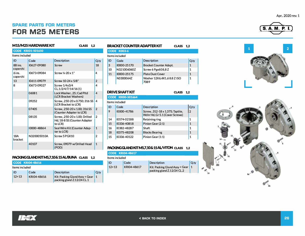# **SPARE PARTS FOR METERS FOR M25 METERS**

| M15/M25 HARDWARE KIT<br><b>CLASS</b><br>1.2 |                          |                                                                           |                |  |
|---------------------------------------------|--------------------------|---------------------------------------------------------------------------|----------------|--|
|                                             | <b>CODE KRI01-501650</b> |                                                                           |                |  |
| Items included                              |                          |                                                                           |                |  |
| ID                                          | Code                     | Description                                                               | Q.ty           |  |
| 8B ins.<br>coperchi                         | 10627-09080              | Screw                                                                     | 18             |  |
| 6 ins.<br>coperchi                          | 10673-09084              | Screw $\frac{1}{4}$ -20 x 1"                                              | 4              |  |
| 13                                          | 10611-09079              | Screw 10-24 x 5/8"                                                        | $\overline{2}$ |  |
| 8                                           | 10673-09027              | Screw 1/4x3/4<br>CL.1/2/4/7/14/16(1)                                      | 4              |  |
|                                             | 06081                    | Lock Washer, .25: Cad PItd<br>(LCR Bracket Washers)                       | 4              |  |
|                                             | 09252                    | Screw. .250-20 x 0.750: 316 SS<br>(LCR Bracket to LCR)                    | 4              |  |
|                                             | 07405                    | Screw. .250-20 x 1.00: 316 SS<br>(Counter Adapter to LCR)                 | $\overline{2}$ |  |
|                                             | 08135                    | Screw. .250-20 x 1.00: Drilled<br>Hd. 18-8 SS (Counter Adapter<br>to LCR) | $\overline{2}$ |  |
|                                             | 10000-48864              | Seal Wire Kit (Counter Adap-<br>ter to LCR)                               | 1              |  |
| <b>18A</b><br><b>bracket</b>                | N320005010A              | Screw 5 PGX10                                                             | $\overline{2}$ |  |
|                                             | 40107                    | Screw, 09079 w/Drilled Head<br>(POD)                                      | $\mathbf{1}$   |  |

### **PACKINGGLANDKITM5,7,10&15AUBUNA CLASS 1,2**

| <b>CODE KRI04-48616</b> |             |                                                              |           |
|-------------------------|-------------|--------------------------------------------------------------|-----------|
| Items included          |             |                                                              |           |
| ID                      | Code        | <b>Description</b>                                           | Q.ty      |
| $12+13$                 | KRI04-48616 | Kit: Packing Gland Assy + Gear<br>packing gland Z.12/24 CL.1 | $\vert$ 1 |

| BRACKET COUNTER ADAPTER KIT<br><b>CLASS</b><br>1.2  |                    |                                      |      |  |  |  |
|-----------------------------------------------------|--------------------|--------------------------------------|------|--|--|--|
|                                                     | <b>CODE K003-6</b> |                                      |      |  |  |  |
|                                                     | Items included     |                                      |      |  |  |  |
| ID                                                  | Code               | Description                          | Q.ty |  |  |  |
| 3                                                   | 10000-25170        | <b>Bracket Counter Adapt.</b>        | 1    |  |  |  |
| 10                                                  | N321006060Z        | Screw 6 Pgx60 8,8 Z                  | 1    |  |  |  |
| 11                                                  | 10000-25175        | <b>Plate Dust Cover</b>              | 1    |  |  |  |
|                                                     | N33000647          | Washer 12X6, 4X1, 68.8 Z ISO<br>7089 | 1    |  |  |  |
| DRIVE SHAFT KIT<br><b>CLASS</b><br>$1.2\phantom{0}$ |                    |                                      |      |  |  |  |
|                                                     | CODE 10000-501664  |                                      |      |  |  |  |

|    | Items included |                                                                    |                |  |  |  |  |
|----|----------------|--------------------------------------------------------------------|----------------|--|--|--|--|
| ID | Code           | Description                                                        | Q.ty           |  |  |  |  |
| 9  | 10000-41786    | Screw, .312-18 x 1.375; Taptite,<br>Wshr Hd, Gr 5.1 (Cover Screws) | $\overline{2}$ |  |  |  |  |
| 14 | 10574-02188    | Retaining ring                                                     | 1              |  |  |  |  |
| 15 | 10336-40818    | Pinion Gear (2:1)                                                  | 1              |  |  |  |  |
| 16 | 10382-48287    | Shaft                                                              | 1              |  |  |  |  |
| 18 | 10375-48208    | <b>Blocks Bearing</b>                                              | 1              |  |  |  |  |
| 15 | 10336-40122    | Pinion Gear (1:1)                                                  | 1              |  |  |  |  |

#### **PACKINGGLANDKITMS,7,10& 15ALNJTON CLASS 1,2**

| <b>CODE KRI04-48617</b> |             |                                                                |         |  |
|-------------------------|-------------|----------------------------------------------------------------|---------|--|
| ltems included          |             |                                                                |         |  |
| ID                      | Code        | <b>Description</b>                                             | $Q$ .ty |  |
| $12+13$                 | KRI04-48617 | Kit: Packing Gland Assy + Gear 1<br>packing gland Z.12/24 CL.2 |         |  |









Apr.. 2020 rev. 1